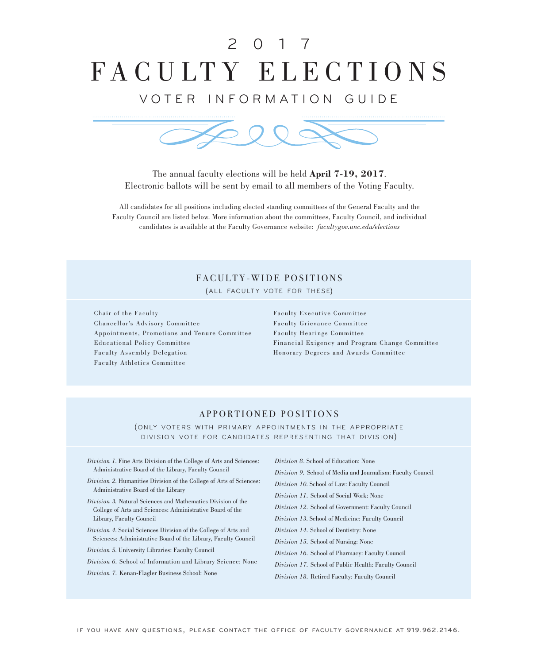# FACULTY ELECTIONS 2 0 1 7

VOTER INFORMATION GUIDE



The annual faculty elections will be held **April 7-19, 2017**. Electronic ballots will be sent by email to all members of the Voting Faculty.

All candidates for all positions including elected standing committees of the General Faculty and the Faculty Council are listed below. More information about the committees, Faculty Council, and individual candidates is available at the Faculty Governance website: *facultygov.unc.edu/elections*

# FACULTY-WIDE POSITIONS

(ALL FACULTY VOTE FOR THESE)

Chair of the Faculty Chancellor's Advisory Committee Appointments, Promotions and Tenure Committee Educational Policy Committee Faculty Assembly Delegation Faculty Athletics Committee

Faculty Executive Committee Faculty Grievance Committee Faculty Hearings Committee Financial Exigency and Program Change Committee Honorary Degrees and Awards Committee

# APPORTIONED POSITIONS

(ONLY VOTERS WITH PRIMARY APPOINTMENTS IN THE APPROPRIATE DIVISION VOTE FOR CANDIDATES REPRESENTING THAT DIVISION)

- *Division 1*. Fine Arts Division of the College of Arts and Sciences: Administrative Board of the Library, Faculty Council
- *Division 2*. Humanities Division of the College of Arts of Sciences: Administrative Board of the Library
- *Division 3.* Natural Sciences and Mathematics Division of the College of Arts and Sciences: Administrative Board of the Library, Faculty Council
- *Division 4*. Social Sciences Division of the College of Arts and Sciences: Administrative Board of the Library, Faculty Council
- *Division 5*. University Libraries: Faculty Council

*Division 6.* School of Information and Library Science: None

*Division 7.* Kenan-Flagler Business School: None

*Division 8*. School of Education: None

*Division 9.* School of Media and Journalism: Faculty Council

*Division 10*. School of Law: Faculty Council

*Division 11.* School of Social Work: None

*Division 12.* School of Government: Faculty Council

*Division 13*. School of Medicine: Faculty Council

*Division 14.* School of Dentistry: None

*Division 15.* School of Nursing: None

*Division 16.* School of Pharmacy: Faculty Council

*Division 17.* School of Public Health: Faculty Council

*Division 18.* Retired Faculty: Faculty Council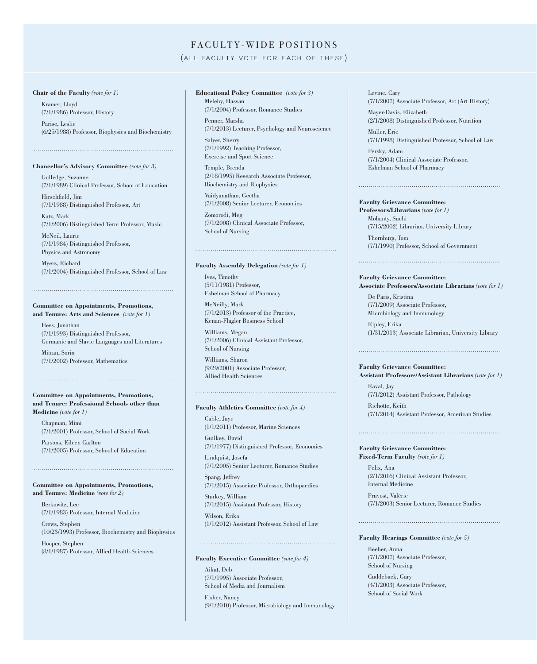# FACULTY-WIDE POSITIONS

# (ALL FACULTY VOTE FOR EACH OF THESE)

# **Chair of the Faculty** *(vote for 1)*

Kramer, Lloyd (7/1/1986) Professor, History

Parise, Leslie (6/25/1988) Professor, Biophysics and Biochemistry

### **Chancellor's Advisory Committee** *(vote for 3)*

Gulledge, Suzanne (7/1/1989) Clinical Professor, School of Education Hirschfield, Jim

(7/1/1988) Distinguished Professor, Art

Katz, Mark (7/1/2006) Distinguished Term Professor, Music

McNeil, Laurie (7/1/1984) Distinguished Professor, Physics and Astronomy

Myers, Richard (7/1/2004) Distinguished Professor, School of Law

# **Committee on Appointments, Promotions, and Tenure: Arts and Sciences** *(vote for 1)*

Hess, Jonathan (7/1/1993) Distinguished Professor, Germanic and Slavic Languages and Literatures

Mitran, Sorin (7/1/2002) Professor, Mathematics

# **Committee on Appointments, Promotions, and Tenure: Professional Schools other than Medicine** *(vote for 1)*

Chapman, Mimi (7/1/2001) Professor, School of Social Work Parsons, Eileen Carlton (7/1/2005) Professor, School of Education

# **Committee on Appointments, Promotions, and Tenure: Medicine** *(vote for 2)*

Berkowitz, Lee (7/1/1983) Professor, Internal Medicine

Crews, Stephen (10/23/1993) Professor, Biochemistry and Biophysics

Hooper, Stephen (8/1/1987) Professor, Allied Health Sciences

# **Educational Policy Committee** *(vote for 3)* Melehy, Hassan

(7/1/2004) Professor, Romance Studies Penner, Marsha

(7/1/2013) Lecturer, Psychology and Neuroscience

Salyer, Sherry (7/1/1992) Teaching Professor, Exercise and Sport Science

Temple, Brenda (2/18/1995) Research Associate Professor, Biochemistry and Biophysics

Vaidyanathan, Geetha (7/1/2008) Senior Lecturer, Economics

Zomorodi, Meg (7/1/2008) Clinical Associate Professor, School of Nursing

### **Faculty Assembly Delegation** *(vote for 1)*

Ives, Timothy (5/11/1981) Professor, Eshelman School of Pharmacy

McNeilly, Mark (7/1/2013) Professor of the Practice, Kenan-Flagler Business School

Williams, Megan (7/1/2006) Clinical Assistant Professor, School of Nursing

Williams, Sharon (9/29/2001) Associate Professor, Allied Health Sciences

# **Faculty Athletics Committee** *(vote for 4)*

Cable, Jaye (1/1/2011) Professor, Marine Sciences

Guilkey, David (7/1/1977) Distinguished Professor, Economics

Lindquist, Josefa (7/1/2005) Senior Lecturer, Romance Studies

Spang, Jeffrey (7/1/2015) Associate Professor, Orthopaedics

Sturkey, William (7/1/2015) Assistant Professor, History

Wilson, Erika (1/1/2012) Assistant Professor, School of Law

# 

**Faculty Executive Committee** *(vote for 4)* Aikat, Deb (7/1/1995) Associate Professor, School of Media and Journalism

Fisher, Nancy (9/1/2010) Professor, Microbiology and Immunology Levine, Cary (7/1/2007) Associate Professor, Art (Art History)

Mayer-Davis, Elizabeth (2/1/2008) Distinguished Professor, Nutrition

Muller, Eric (7/1/1998) Distinguished Professor, School of Law Persky, Adam

(7/1/2004) Clinical Associate Professor, Eshelman School of Pharmacy

# **Faculty Grievance Committee:**

**Professors/Librarians** *(vote for 1)* Mohanty, Suchi (7/15/2002) Librarian, University Library

Thornburg, Tom (7/1/1990) Professor, School of Government

# **Faculty Grievance Committee: Associate Professors/Associate Librarians** *(vote for 1)*

De Paris, Kristina (7/1/2009) Associate Professor, Microbiology and Immunology

Ripley, Erika (1/31/2013) Associate Librarian, University Library

### **Faculty Grievance Committee:**

**Assistant Professors/Assistant Librarians** *(vote for 1)* Raval, Jay

(7/1/2012) Assistant Professor, Pathology

Richotte, Keith (7/1/2014) Assistant Professor, American Studies

# **Faculty Grievance Committee:**

**Fixed-Term Faculty** *(vote for 1)*

Felix, Ana (2/1/2016) Clinical Assistant Professor, Internal Medicine

Pruvost, Valérie (7/1/2003) Senior Lecturer, Romance Studies

### **Faculty Hearings Committee** *(vote for 5)*

Beeber, Anna (7/1/2007) Associate Professor, School of Nursing

Cuddeback, Gary (4/1/2003) Associate Professor, School of Social Work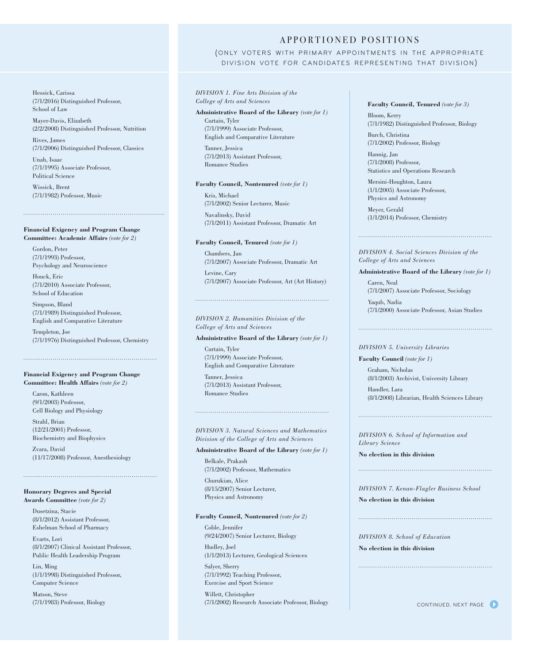APPORTIONED POSITIONS

(ONLY VOTERS WITH PRIMARY APPOINTMENTS IN THE APPROPRIATE DIVISION VOTE FOR CANDIDATES REPRESENTING THAT DIVISION)

*DIVISION 1. Fine Arts Division of the College of Arts and Sciences*

**Administrative Board of the Library** *(vote for 1)* Curtain, Tyler (7/1/1999) Associate Professor, English and Comparative Literature

Tanner, Jessica (7/1/2013) Assistant Professor, Romance Studies

# **Faculty Council, Nontenured** *(vote for 1)*

Kris, Michael (7/1/2002) Senior Lecturer, Music

Navalinsky, David (7/1/2011) Assistant Professor, Dramatic Art

# **Faculty Council, Tenured** *(vote for 1)*

Chambers, Jan (7/1/2007) Associate Professor, Dramatic Art Levine, Cary (7/1/2007) Associate Professor, Art (Art History)

# *DIVISION 2. Humanities Division of the College of Arts and Sciences*

**Administrative Board of the Library** *(vote for 1)*

Curtain, Tyler (7/1/1999) Associate Professor, English and Comparative Literature

Tanner, Jessica (7/1/2013) Assistant Professor, Romance Studies

*DIVISION 3. Natural Sciences and Mathematics Division of the College of Arts and Sciences* 

**Administrative Board of the Library** *(vote for 1)*

Belkale, Prakash (7/1/2002) Professor, Mathematics

Churukian, Alice (8/15/2007) Senior Lecturer, Physics and Astronomy

# **Faculty Council, Nontenured** *(vote for 2)*

Coble, Jennifer (9/24/2007) Senior Lecturer, Biology

Hudley, Joel (1/1/2013) Lecturer, Geological Sciences

Salyer, Sherry (7/1/1992) Teaching Professor, Exercise and Sport Science

Willett, Christopher (7/1/2002) Research Associate Professor, Biology **Faculty Council, Tenured** *(vote for 3)*

Bloom, Kerry (7/1/1982) Distinguished Professor, Biology

Burch, Christina (7/1/2002) Professor, Biology

Hannig, Jan (7/1/2008) Professor, Statistics and Operations Research

Mersini-Houghton, Laura (1/1/2005) Associate Professor, Physics and Astronomy

Meyer, Gerald (1/1/2014) Professor, Chemistry

*DIVISION 4. Social Sciences Division of the College of Arts and Sciences* 

### **Administrative Board of the Library** *(vote for 1)*

Caren, Neal (7/1/2007) Associate Professor, Sociology

Yaqub, Nadia (7/1/2000) Associate Professor, Asian Studies

# *DIVISION 5. University Libraries*

**Faculty Council** *(vote for 1)* Graham, Nicholas (8/1/2003) Archivist, University Library Handler, Lara (8/1/2008) Librarian, Health Sciences Library

*DIVISION 6. School of Information and Library Science*

**No election in this division**

# *DIVISION 7. Kenan-Flagler Business School* **No election in this division**

*DIVISION 8. School of Education* **No election in this division**

# Rives, James (7/1/2006) Distinguished Professor, Classics

Mayer-Davis, Elizabeth

(7/1/2016) Distinguished Professor,

(2/2/2008) Distinguished Professor, Nutrition

Hessick, Carissa

School of Law

Unah, Isaac (7/1/1995) Associate Professor, Political Science

Wissick, Brent (7/1/1982) Professor, Music

# **Financial Exigency and Program Change Committee: Academic Affairs** *(vote for 2)*

Gordon, Peter (7/1/1993) Professor, Psychology and Neuroscience Houck, Eric (7/1/2010) Associate Professor, School of Education Simpson, Bland (7/1/1989) Distinguished Professor, English and Comparative Literature Templeton, Joe (7/1/1976) Distinguished Professor, Chemistry

# **Financial Exigency and Program Change Committee: Health Affairs** *(vote for 2)*

Caron, Kathleen (9/1/2003) Professor, Cell Biology and Physiology

Strahl, Brian (12/21/2001) Professor, Biochemistry and Biophysics

Zvara, David (11/17/2008) Professor, Anesthesiology

# **Honorary Degrees and Special Awards Committee** *(vote for 2)*

Dusetzina, Stacie (8/1/2012) Assistant Professor, Eshelman School of Pharmacy

Evarts, Lori (8/1/2007) Clinical Assistant Professor, Public Health Leadership Program

Lin, Ming (1/1/1998) Distinguished Professor, Computer Science

Matson, Steve (7/1/1983) Professor, Biology

CONTINUED, NEXT PAGE